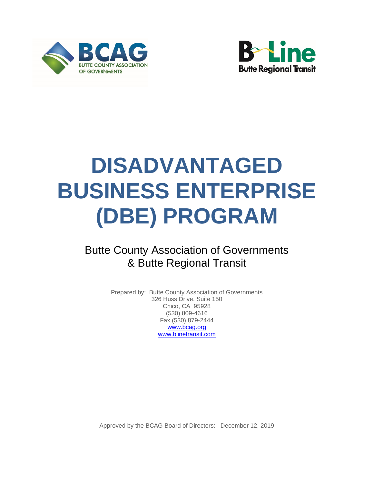<span id="page-0-0"></span>



# **DISADVANTAGED BUSINESS ENTERPRISE (DBE) PROGRAM**

# Butte County Association of Governments & Butte Regional Transit

Prepared by: Butte County Association of Governments 326 Huss Drive, Suite 150 Chico, CA 95928 (530) 809-4616 Fax (530) 879-2444 [www.bcag.org](http://www.bcag.org/) [www.blinetransit.com](http://www.blinetransit.com/)

Approved by the BCAG Board of Directors: December 12, 2019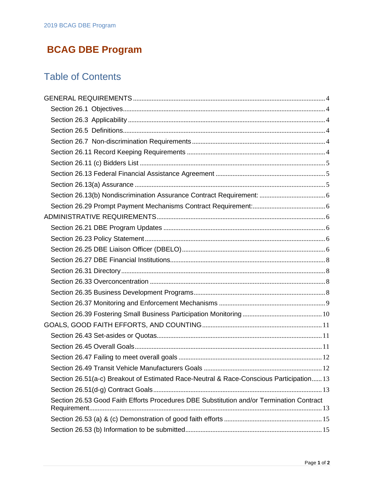# **BCAG DBE Program**

# Table of Contents

| Section 26.51(a-c) Breakout of Estimated Race-Neutral & Race-Conscious Participation 13  |  |
|------------------------------------------------------------------------------------------|--|
|                                                                                          |  |
| Section 26.53 Good Faith Efforts Procedures DBE Substitution and/or Termination Contract |  |
|                                                                                          |  |
|                                                                                          |  |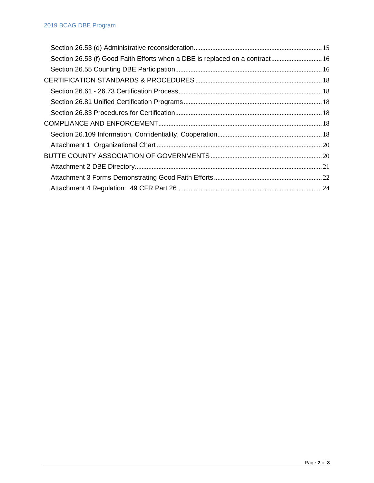| Section 26.53 (f) Good Faith Efforts when a DBE is replaced on a contract 16 |  |
|------------------------------------------------------------------------------|--|
|                                                                              |  |
|                                                                              |  |
|                                                                              |  |
|                                                                              |  |
|                                                                              |  |
|                                                                              |  |
|                                                                              |  |
|                                                                              |  |
|                                                                              |  |
|                                                                              |  |
|                                                                              |  |
|                                                                              |  |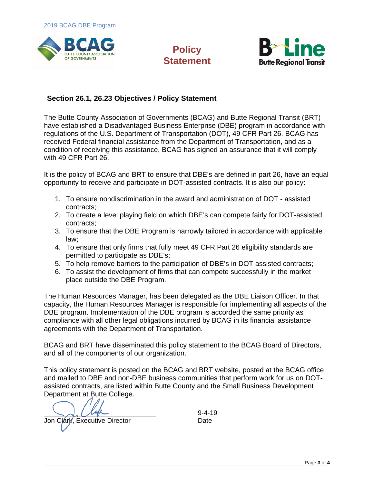

# **Policy Statement**



# **Section 26.1, 26.23 Objectives / Policy Statement**

The Butte County Association of Governments (BCAG) and Butte Regional Transit (BRT) have established a Disadvantaged Business Enterprise (DBE) program in accordance with regulations of the U.S. Department of Transportation (DOT), 49 CFR Part 26. BCAG has received Federal financial assistance from the Department of Transportation, and as a condition of receiving this assistance, BCAG has signed an assurance that it will comply with 49 CFR Part 26.

It is the policy of BCAG and BRT to ensure that DBE's are defined in part 26, have an equal opportunity to receive and participate in DOT-assisted contracts. It is also our policy:

- 1. To ensure nondiscrimination in the award and administration of DOT assisted contracts;
- 2. To create a level playing field on which DBE's can compete fairly for DOT-assisted contracts;
- 3. To ensure that the DBE Program is narrowly tailored in accordance with applicable law;
- 4. To ensure that only firms that fully meet 49 CFR Part 26 eligibility standards are permitted to participate as DBE's;
- 5. To help remove barriers to the participation of DBE's in DOT assisted contracts;
- 6. To assist the development of firms that can compete successfully in the market place outside the DBE Program.

The Human Resources Manager, has been delegated as the DBE Liaison Officer. In that capacity, the Human Resources Manager is responsible for implementing all aspects of the DBE program. Implementation of the DBE program is accorded the same priority as compliance with all other legal obligations incurred by BCAG in its financial assistance agreements with the Department of Transportation.

BCAG and BRT have disseminated this policy statement to the BCAG Board of Directors, and all of the components of our organization.

This policy statement is posted on the BCAG and BRT website, posted at the BCAG office and mailed to DBE and non-DBE business communities that perform work for us on DOTassisted contracts, are listed within Butte County and the Small Business Development Department at Butte College.

 $\frac{9-4-19}{2}$ 

Jon Clark, Executive Director **Date** Date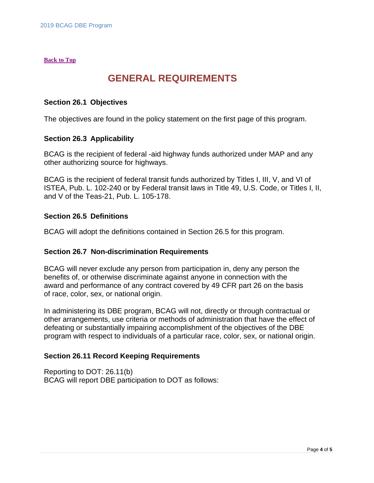#### **[Back to Top](#page-0-0)**

# <span id="page-4-0"></span>**GENERAL REQUIREMENTS**

#### <span id="page-4-1"></span>**Section 26.1 Objectives**

The objectives are found in the policy statement on the first page of this program.

#### <span id="page-4-2"></span>**Section 26.3 Applicability**

BCAG is the recipient of federal -aid highway funds authorized under MAP and any other authorizing source for highways.

BCAG is the recipient of federal transit funds authorized by Titles I, III, V, and VI of ISTEA, Pub. L. 102-240 or by Federal transit laws in Title 49, U.S. Code, or Titles I, II, and V of the Teas-21, Pub. L. 105-178.

#### <span id="page-4-3"></span>**Section 26.5 Definitions**

BCAG will adopt the definitions contained in Section 26.5 for this program.

#### <span id="page-4-4"></span>**Section 26.7 Non-discrimination Requirements**

BCAG will never exclude any person from participation in, deny any person the benefits of, or otherwise discriminate against anyone in connection with the award and performance of any contract covered by 49 CFR part 26 on the basis of race, color, sex, or national origin.

In administering its DBE program, BCAG will not, directly or through contractual or other arrangements, use criteria or methods of administration that have the effect of defeating or substantially impairing accomplishment of the objectives of the DBE program with respect to individuals of a particular race, color, sex, or national origin.

#### <span id="page-4-5"></span>**Section 26.11 Record Keeping Requirements**

Reporting to DOT: 26.11(b) BCAG will report DBE participation to DOT as follows: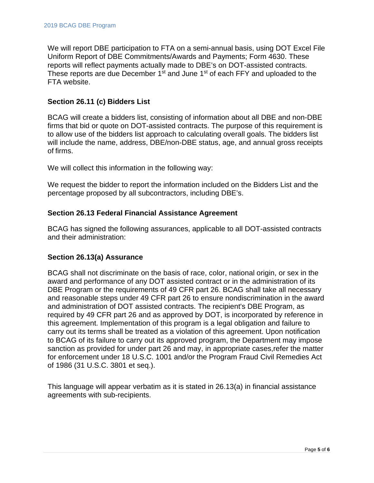We will report DBE participation to FTA on a semi-annual basis, using DOT Excel File Uniform Report of DBE Commitments/Awards and Payments; Form 4630. These reports will reflect payments actually made to DBE's on DOT-assisted contracts. These reports are due December 1<sup>st</sup> and June 1<sup>st</sup> of each FFY and uploaded to the FTA website.

# <span id="page-5-0"></span>**Section 26.11 (c) Bidders List**

BCAG will create a bidders list, consisting of information about all DBE and non-DBE firms that bid or quote on DOT-assisted contracts. The purpose of this requirement is to allow use of the bidders list approach to calculating overall goals. The bidders list will include the name, address, DBE/non-DBE status, age, and annual gross receipts of firms.

We will collect this information in the following way:

We request the bidder to report the information included on the Bidders List and the percentage proposed by all subcontractors, including DBE's.

# <span id="page-5-1"></span>**Section 26.13 Federal Financial Assistance Agreement**

BCAG has signed the following assurances, applicable to all DOT-assisted contracts and their administration:

#### <span id="page-5-2"></span>**Section 26.13(a) Assurance**

BCAG shall not discriminate on the basis of race, color, national origin, or sex in the award and performance of any DOT assisted contract or in the administration of its DBE Program or the requirements of 49 CFR part 26. BCAG shall take all necessary and reasonable steps under 49 CFR part 26 to ensure nondiscrimination in the award and administration of DOT assisted contracts. The recipient's DBE Program, as required by 49 CFR part 26 and as approved by DOT, is incorporated by reference in this agreement. Implementation of this program is a legal obligation and failure to carry out its terms shall be treated as a violation of this agreement. Upon notification to BCAG of its failure to carry out its approved program, the Department may impose sanction as provided for under part 26 and may, in appropriate cases,refer the matter for enforcement under 18 U.S.C. 1001 and/or the Program Fraud Civil Remedies Act of 1986 (31 U.S.C. 3801 et seq.).

This language will appear verbatim as it is stated in 26.13(a) in financial assistance agreements with sub-recipients.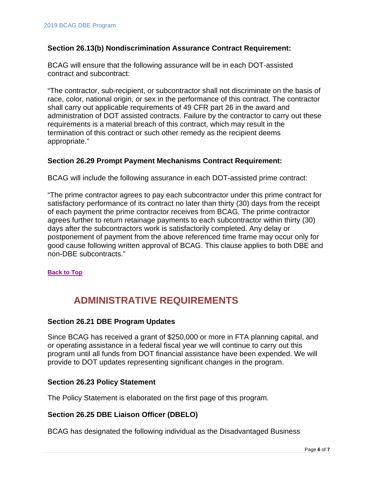#### <span id="page-6-0"></span>**Section 26.13(b) Nondiscrimination Assurance Contract Requirement:**

BCAG will ensure that the following assurance will be in each DOT-assisted contract and subcontract:

"The contractor, sub-recipient, or subcontractor shall not discriminate on the basis of race, color, national origin, or sex in the performance of this contract. The contractor shall carry out applicable requirements of 49 CFR part 26 in the award and administration of DOT assisted contracts. Failure by the contractor to carry out these requirements is a material breach of this contract, which may result in the termination of this contract or such other remedy as the recipient deems appropriate."

## <span id="page-6-1"></span>**Section 26.29 Prompt Payment Mechanisms Contract Requirement:**

BCAG will include the following assurance in each DOT-assisted prime contract:

"The prime contractor agrees to pay each subcontractor under this prime contract for satisfactory performance of its contract no later than thirty (30) days from the receipt of each payment the prime contractor receives from BCAG. The prime contractor agrees further to return retainage payments to each subcontractor within thirty (30) days after the subcontractors work is satisfactorily completed. Any delay or postponement of payment from the above referenced time frame may occur only for good cause following written approval of BCAG. This clause applies to both DBE and non-DBE subcontracts."

<span id="page-6-2"></span>**[Back to Top](#page-0-0)**

# **ADMINISTRATIVE REQUIREMENTS**

#### <span id="page-6-3"></span>**Section 26.21 DBE Program Updates**

Since BCAG has received a grant of \$250,000 or more in FTA planning capital, and or operating assistance in a federal fiscal year we will continue to carry out this program until all funds from DOT financial assistance have been expended. We will provide to DOT updates representing significant changes in the program.

#### <span id="page-6-4"></span>**Section 26.23 Policy Statement**

The Policy Statement is elaborated on the first page of this program.

#### <span id="page-6-5"></span>**Section 26.25 DBE Liaison Officer (DBELO)**

BCAG has designated the following individual as the Disadvantaged Business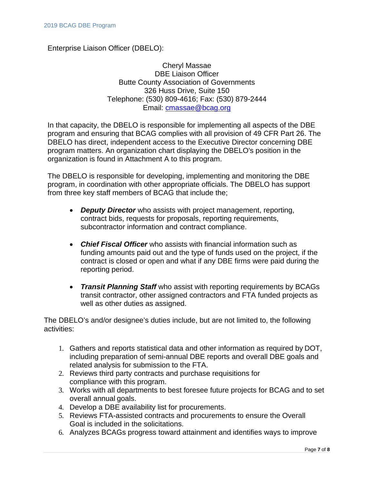Enterprise Liaison Officer (DBELO):

Cheryl Massae DBE Liaison Officer Butte County Association of Governments 326 Huss Drive, Suite 150 Telephone: (530) 809-4616; Fax: (530) 879-2444 Email: [cmassae@bcag.org](mailto:cmassae@bcag.org)

In that capacity, the DBELO is responsible for implementing all aspects of the DBE program and ensuring that BCAG complies with all provision of 49 CFR Part 26. The DBELO has direct, independent access to the Executive Director concerning DBE program matters. An organization chart displaying the DBELO's position in the organization is found in Attachment A to this program.

The DBELO is responsible for developing, implementing and monitoring the DBE program, in coordination with other appropriate officials. The DBELO has support from three key staff members of BCAG that include the;

- *Deputy Director* who assists with project management, reporting, contract bids, requests for proposals, reporting requirements, subcontractor information and contract compliance.
- *Chief Fiscal Officer* who assists with financial information such as funding amounts paid out and the type of funds used on the project, if the contract is closed or open and what if any DBE firms were paid during the reporting period.
- *Transit Planning Staff* who assist with reporting requirements by BCAGs transit contractor, other assigned contractors and FTA funded projects as well as other duties as assigned.

The DBELO's and/or designee's duties include, but are not limited to, the following activities:

- 1. Gathers and reports statistical data and other information as required by DOT, including preparation of semi-annual DBE reports and overall DBE goals and related analysis for submission to the FTA.
- 2. Reviews third party contracts and purchase requisitions for compliance with this program.
- 3. Works with all departments to best foresee future projects for BCAG and to set overall annual goals.
- 4. Develop a DBE availability list for procurements.
- 5. Reviews FTA-assisted contracts and procurements to ensure the Overall Goal is included in the solicitations.
- 6. Analyzes BCAGs progress toward attainment and identifies ways to improve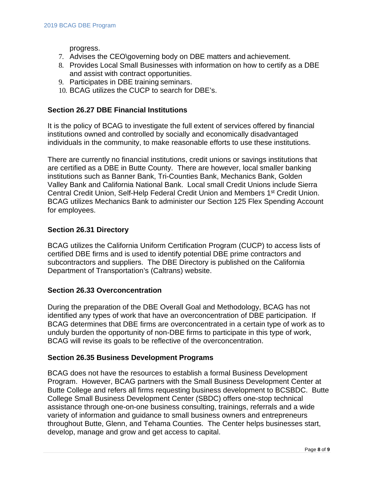progress.

- 7. Advises the CEO\governing body on DBE matters and achievement.
- 8. Provides Local Small Businesses with information on how to certify as a DBE and assist with contract opportunities.
- 9. Participates in DBE training seminars.
- 10. BCAG utilizes the CUCP to search for DBE's.

#### <span id="page-8-0"></span>**Section 26.27 DBE Financial Institutions**

It is the policy of BCAG to investigate the full extent of services offered by financial institutions owned and controlled by socially and economically disadvantaged individuals in the community, to make reasonable efforts to use these institutions.

There are currently no financial institutions, credit unions or savings institutions that are certified as a DBE in Butte County. There are however, local smaller banking institutions such as Banner Bank, Tri-Counties Bank, Mechanics Bank, Golden Valley Bank and California National Bank. Local small Credit Unions include Sierra Central Credit Union, Self-Help Federal Credit Union and Members 1st Credit Union. BCAG utilizes Mechanics Bank to administer our Section 125 Flex Spending Account for employees.

## <span id="page-8-1"></span>**Section 26.31 Directory**

BCAG utilizes the California Uniform Certification Program (CUCP) to access lists of certified DBE firms and is used to identify potential DBE prime contractors and subcontractors and suppliers. The DBE Directory is published on the California Department of Transportation's (Caltrans) website.

#### <span id="page-8-2"></span>**Section 26.33 Overconcentration**

During the preparation of the DBE Overall Goal and Methodology, BCAG has not identified any types of work that have an overconcentration of DBE participation. If BCAG determines that DBE firms are overconcentrated in a certain type of work as to unduly burden the opportunity of non-DBE firms to participate in this type of work, BCAG will revise its goals to be reflective of the overconcentration.

#### <span id="page-8-3"></span>**Section 26.35 Business Development Programs**

BCAG does not have the resources to establish a formal Business Development Program. However, BCAG partners with the Small Business Development Center at Butte College and refers all firms requesting business development to BCSBDC. Butte College Small Business Development Center (SBDC) offers one-stop technical assistance through one-on-one business consulting, trainings, referrals and a wide variety of information and guidance to small business owners and entrepreneurs throughout Butte, Glenn, and Tehama Counties. The Center helps businesses start, develop, manage and grow and get access to capital.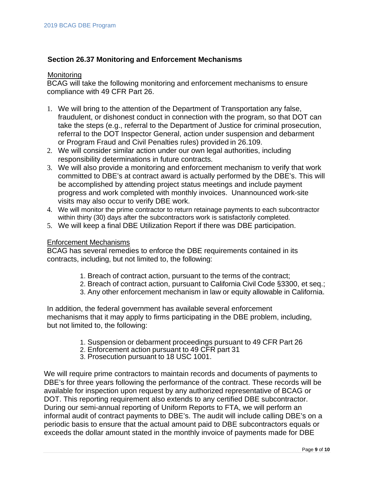# <span id="page-9-0"></span>**Section 26.37 Monitoring and Enforcement Mechanisms**

#### **Monitoring**

BCAG will take the following monitoring and enforcement mechanisms to ensure compliance with 49 CFR Part 26.

- 1. We will bring to the attention of the Department of Transportation any false, fraudulent, or dishonest conduct in connection with the program, so that DOT can take the steps (e.g., referral to the Department of Justice for criminal prosecution, referral to the DOT Inspector General, action under suspension and debarment or Program Fraud and Civil Penalties rules) provided in 26.109.
- 2. We will consider similar action under our own legal authorities, including responsibility determinations in future contracts.
- 3. We will also provide a monitoring and enforcement mechanism to verify that work committed to DBE's at contract award is actually performed by the DBE's. This will be accomplished by attending project status meetings and include payment progress and work completed with monthly invoices. Unannounced work-site visits may also occur to verify DBE work.
- 4. We will monitor the prime contractor to return retainage payments to each subcontractor within thirty (30) days after the subcontractors work is satisfactorily completed.
- 5. We will keep a final DBE Utilization Report if there was DBE participation.

#### Enforcement Mechanisms

BCAG has several remedies to enforce the DBE requirements contained in its contracts, including, but not limited to, the following:

- 1. Breach of contract action, pursuant to the terms of the contract;
- 2. Breach of contract action, pursuant to California Civil Code §3300, et seq.;
- 3. Any other enforcement mechanism in law or equity allowable in California.

In addition, the federal government has available several enforcement mechanisms that it may apply to firms participating in the DBE problem, including, but not limited to, the following:

- 1. Suspension or debarment proceedings pursuant to 49 CFR Part 26
- 2. Enforcement action pursuant to 49 CFR part 31
- 3. Prosecution pursuant to 18 USC 1001.

We will require prime contractors to maintain records and documents of payments to DBE's for three years following the performance of the contract. These records will be available for inspection upon request by any authorized representative of BCAG or DOT. This reporting requirement also extends to any certified DBE subcontractor. During our semi-annual reporting of Uniform Reports to FTA, we will perform an informal audit of contract payments to DBE's. The audit will include calling DBE's on a periodic basis to ensure that the actual amount paid to DBE subcontractors equals or exceeds the dollar amount stated in the monthly invoice of payments made for DBE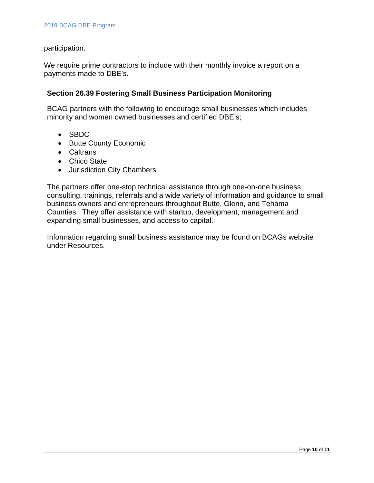participation.

We require prime contractors to include with their monthly invoice a report on a payments made to DBE's.

## <span id="page-10-0"></span>**Section 26.39 Fostering Small Business Participation Monitoring**

BCAG partners with the following to encourage small businesses which includes minority and women owned businesses and certified DBE's;

- SBDC
- Butte County Economic
- Caltrans
- Chico State
- Jurisdiction City Chambers

The partners offer one-stop technical assistance through one-on-one business consulting, trainings, referrals and a wide variety of information and guidance to small business owners and entrepreneurs throughout Butte, Glenn, and Tehama Counties. They offer assistance with startup, development, management and expanding small businesses, and access to capital.

Information regarding small business assistance may be found on BCAGs website under Resources.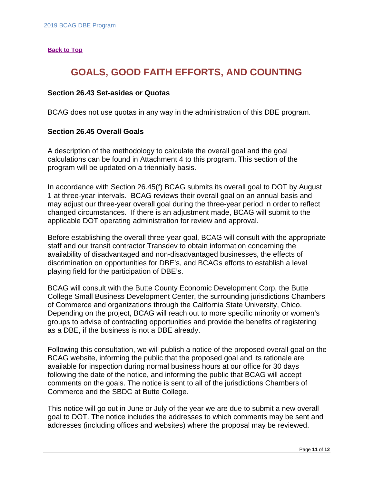#### <span id="page-11-0"></span>**[Back to Top](#page-0-0)**

# **GOALS, GOOD FAITH EFFORTS, AND COUNTING**

#### <span id="page-11-1"></span>**Section 26.43 Set-asides or Quotas**

BCAG does not use quotas in any way in the administration of this DBE program.

#### <span id="page-11-2"></span>**Section 26.45 Overall Goals**

A description of the methodology to calculate the overall goal and the goal calculations can be found in Attachment 4 to this program. This section of the program will be updated on a triennially basis.

In accordance with Section 26.45(f) BCAG submits its overall goal to DOT by August 1 at three-year intervals. BCAG reviews their overall goal on an annual basis and may adjust our three-year overall goal during the three-year period in order to reflect changed circumstances. If there is an adjustment made, BCAG will submit to the applicable DOT operating administration for review and approval.

Before establishing the overall three-year goal, BCAG will consult with the appropriate staff and our transit contractor Transdev to obtain information concerning the availability of disadvantaged and non-disadvantaged businesses, the effects of discrimination on opportunities for DBE's, and BCAGs efforts to establish a level playing field for the participation of DBE's.

BCAG will consult with the Butte County Economic Development Corp, the Butte College Small Business Development Center, the surrounding jurisdictions Chambers of Commerce and organizations through the California State University, Chico. Depending on the project, BCAG will reach out to more specific minority or women's groups to advise of contracting opportunities and provide the benefits of registering as a DBE, if the business is not a DBE already.

Following this consultation, we will publish a notice of the proposed overall goal on the BCAG website, informing the public that the proposed goal and its rationale are available for inspection during normal business hours at our office for 30 days following the date of the notice, and informing the public that BCAG will accept comments on the goals. The notice is sent to all of the jurisdictions Chambers of Commerce and the SBDC at Butte College.

This notice will go out in June or July of the year we are due to submit a new overall goal to DOT. The notice includes the addresses to which comments may be sent and addresses (including offices and websites) where the proposal may be reviewed.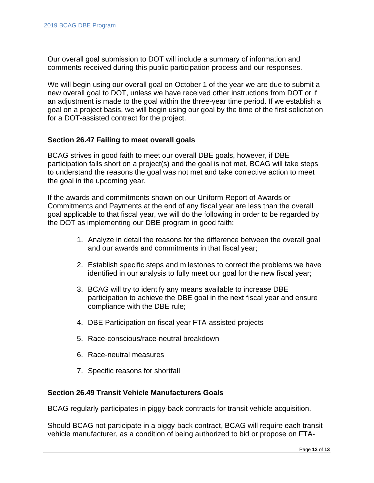Our overall goal submission to DOT will include a summary of information and comments received during this public participation process and our responses.

We will begin using our overall goal on October 1 of the year we are due to submit a new overall goal to DOT, unless we have received other instructions from DOT or if an adjustment is made to the goal within the three-year time period. If we establish a goal on a project basis, we will begin using our goal by the time of the first solicitation for a DOT-assisted contract for the project.

#### <span id="page-12-0"></span>**Section 26.47 Failing to meet overall goals**

BCAG strives in good faith to meet our overall DBE goals, however, if DBE participation falls short on a project(s) and the goal is not met, BCAG will take steps to understand the reasons the goal was not met and take corrective action to meet the goal in the upcoming year.

If the awards and commitments shown on our Uniform Report of Awards or Commitments and Payments at the end of any fiscal year are less than the overall goal applicable to that fiscal year, we will do the following in order to be regarded by the DOT as implementing our DBE program in good faith:

- 1. Analyze in detail the reasons for the difference between the overall goal and our awards and commitments in that fiscal year;
- 2. Establish specific steps and milestones to correct the problems we have identified in our analysis to fully meet our goal for the new fiscal year;
- 3. BCAG will try to identify any means available to increase DBE participation to achieve the DBE goal in the next fiscal year and ensure compliance with the DBE rule;
- 4. DBE Participation on fiscal year FTA-assisted projects
- 5. Race-conscious/race-neutral breakdown
- 6. Race-neutral measures
- 7. Specific reasons for shortfall

#### <span id="page-12-1"></span>**Section 26.49 Transit Vehicle Manufacturers Goals**

BCAG regularly participates in piggy-back contracts for transit vehicle acquisition.

Should BCAG not participate in a piggy-back contract, BCAG will require each transit vehicle manufacturer, as a condition of being authorized to bid or propose on FTA-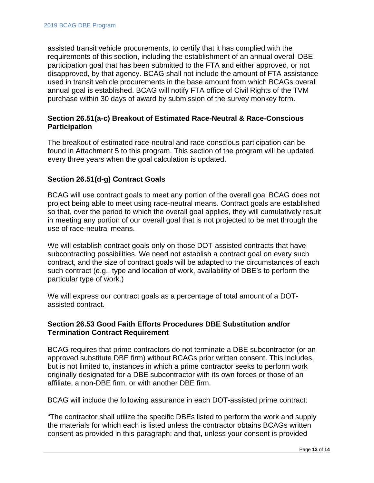assisted transit vehicle procurements, to certify that it has complied with the requirements of this section, including the establishment of an annual overall DBE participation goal that has been submitted to the FTA and either approved, or not disapproved, by that agency. BCAG shall not include the amount of FTA assistance used in transit vehicle procurements in the base amount from which BCAGs overall annual goal is established. BCAG will notify FTA office of Civil Rights of the TVM purchase within 30 days of award by submission of the survey monkey form.

# <span id="page-13-0"></span>**Section 26.51(a-c) Breakout of Estimated Race-Neutral & Race-Conscious Participation**

The breakout of estimated race-neutral and race-conscious participation can be found in Attachment 5 to this program. This section of the program will be updated every three years when the goal calculation is updated.

# <span id="page-13-1"></span>**Section 26.51(d-g) Contract Goals**

BCAG will use contract goals to meet any portion of the overall goal BCAG does not project being able to meet using race-neutral means. Contract goals are established so that, over the period to which the overall goal applies, they will cumulatively result in meeting any portion of our overall goal that is not projected to be met through the use of race-neutral means.

We will establish contract goals only on those DOT-assisted contracts that have subcontracting possibilities. We need not establish a contract goal on every such contract, and the size of contract goals will be adapted to the circumstances of each such contract (e.g., type and location of work, availability of DBE's to perform the particular type of work.)

We will express our contract goals as a percentage of total amount of a DOTassisted contract.

# <span id="page-13-2"></span>**Section 26.53 Good Faith Efforts Procedures DBE Substitution and/or Termination Contract Requirement**

BCAG requires that prime contractors do not terminate a DBE subcontractor (or an approved substitute DBE firm) without BCAGs prior written consent. This includes, but is not limited to, instances in which a prime contractor seeks to perform work originally designated for a DBE subcontractor with its own forces or those of an affiliate, a non-DBE firm, or with another DBE firm.

BCAG will include the following assurance in each DOT-assisted prime contract:

"The contractor shall utilize the specific DBEs listed to perform the work and supply the materials for which each is listed unless the contractor obtains BCAGs written consent as provided in this paragraph; and that, unless your consent is provided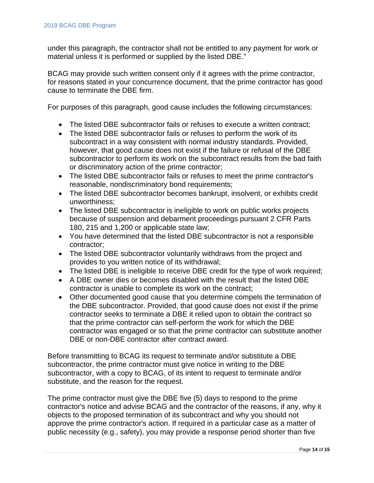under this paragraph, the contractor shall not be entitled to any payment for work or material unless it is performed or supplied by the listed DBE."

BCAG may provide such written consent only if it agrees with the prime contractor, for reasons stated in your concurrence document, that the prime contractor has good cause to terminate the DBE firm.

For purposes of this paragraph, good cause includes the following circumstances:

- The listed DBE subcontractor fails or refuses to execute a written contract;
- The listed DBE subcontractor fails or refuses to perform the work of its subcontract in a way consistent with normal industry standards. Provided, however, that good cause does not exist if the failure or refusal of the DBE subcontractor to perform its work on the subcontract results from the bad faith or discriminatory action of the prime contractor;
- The listed DBE subcontractor fails or refuses to meet the prime contractor's reasonable, nondiscriminatory bond requirements;
- The listed DBE subcontractor becomes bankrupt, insolvent, or exhibits credit unworthiness;
- The listed DBE subcontractor is ineligible to work on public works projects because of suspension and debarment proceedings pursuant 2 CFR Parts 180, 215 and 1,200 or applicable state law;
- You have determined that the listed DBE subcontractor is not a responsible contractor;
- The listed DBE subcontractor voluntarily withdraws from the project and provides to you written notice of its withdrawal;
- The listed DBE is ineligible to receive DBE credit for the type of work required;
- A DBE owner dies or becomes disabled with the result that the listed DBE contractor is unable to complete its work on the contract;
- Other documented good cause that you determine compels the termination of the DBE subcontractor. Provided, that good cause does not exist if the prime contractor seeks to terminate a DBE it relied upon to obtain the contract so that the prime contractor can self-perform the work for which the DBE contractor was engaged or so that the prime contractor can substitute another DBE or non-DBE contractor after contract award.

Before transmitting to BCAG its request to terminate and/or substitute a DBE subcontractor, the prime contractor must give notice in writing to the DBE subcontractor, with a copy to BCAG, of its intent to request to terminate and/or substitute, and the reason for the request.

The prime contractor must give the DBE five (5) days to respond to the prime contractor's notice and advise BCAG and the contractor of the reasons, if any, why it objects to the proposed termination of its subcontract and why you should not approve the prime contractor's action. If required in a particular case as a matter of public necessity (e.g., safety), you may provide a response period shorter than five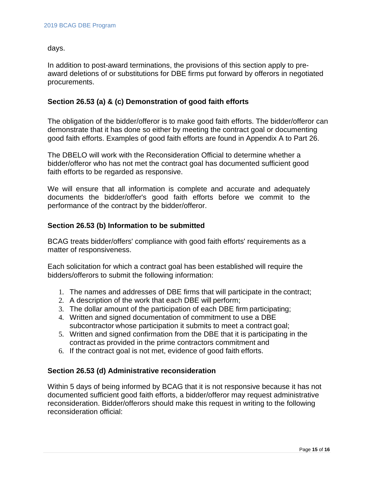days.

In addition to post-award terminations, the provisions of this section apply to preaward deletions of or substitutions for DBE firms put forward by offerors in negotiated procurements.

## <span id="page-15-0"></span>**Section 26.53 (a) & (c) Demonstration of good faith efforts**

The obligation of the bidder/offeror is to make good faith efforts. The bidder/offeror can demonstrate that it has done so either by meeting the contract goal or documenting good faith efforts. Examples of good faith efforts are found in Appendix A to Part 26.

The DBELO will work with the Reconsideration Official to determine whether a bidder/offeror who has not met the contract goal has documented sufficient good faith efforts to be regarded as responsive.

We will ensure that all information is complete and accurate and adequately documents the bidder/offer's good faith efforts before we commit to the performance of the contract by the bidder/offeror.

#### <span id="page-15-1"></span>**Section 26.53 (b) Information to be submitted**

BCAG treats bidder/offers' compliance with good faith efforts' requirements as a matter of responsiveness.

Each solicitation for which a contract goal has been established will require the bidders/offerors to submit the following information:

- 1. The names and addresses of DBE firms that will participate in the contract;
- 2. A description of the work that each DBE will perform;
- 3. The dollar amount of the participation of each DBE firm participating;
- 4. Written and signed documentation of commitment to use a DBE subcontractor whose participation it submits to meet a contract goal;
- 5. Written and signed confirmation from the DBE that it is participating in the contract as provided in the prime contractors commitment and
- 6. If the contract goal is not met, evidence of good faith efforts.

# <span id="page-15-2"></span>**Section 26.53 (d) Administrative reconsideration**

Within 5 days of being informed by BCAG that it is not responsive because it has not documented sufficient good faith efforts, a bidder/offeror may request administrative reconsideration. Bidder/offerors should make this request in writing to the following reconsideration official: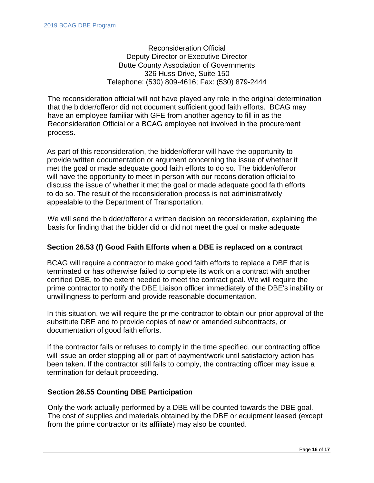Reconsideration Official Deputy Director or Executive Director Butte County Association of Governments 326 Huss Drive, Suite 150 Telephone: (530) 809-4616; Fax: (530) 879-2444

The reconsideration official will not have played any role in the original determination that the bidder/offeror did not document sufficient good faith efforts. BCAG may have an employee familiar with GFE from another agency to fill in as the Reconsideration Official or a BCAG employee not involved in the procurement process.

As part of this reconsideration, the bidder/offeror will have the opportunity to provide written documentation or argument concerning the issue of whether it met the goal or made adequate good faith efforts to do so. The bidder/offeror will have the opportunity to meet in person with our reconsideration official to discuss the issue of whether it met the goal or made adequate good faith efforts to do so. The result of the reconsideration process is not administratively appealable to the Department of Transportation.

We will send the bidder/offeror a written decision on reconsideration, explaining the basis for finding that the bidder did or did not meet the goal or make adequate

# <span id="page-16-0"></span>**Section 26.53 (f) Good Faith Efforts when a DBE is replaced on a contract**

BCAG will require a contractor to make good faith efforts to replace a DBE that is terminated or has otherwise failed to complete its work on a contract with another certified DBE, to the extent needed to meet the contract goal. We will require the prime contractor to notify the DBE Liaison officer immediately of the DBE's inability or unwillingness to perform and provide reasonable documentation.

In this situation, we will require the prime contractor to obtain our prior approval of the substitute DBE and to provide copies of new or amended subcontracts, or documentation of good faith efforts.

If the contractor fails or refuses to comply in the time specified, our contracting office will issue an order stopping all or part of payment/work until satisfactory action has been taken. If the contractor still fails to comply, the contracting officer may issue a termination for default proceeding.

# <span id="page-16-1"></span>**Section 26.55 Counting DBE Participation**

Only the work actually performed by a DBE will be counted towards the DBE goal. The cost of supplies and materials obtained by the DBE or equipment leased (except from the prime contractor or its affiliate) may also be counted.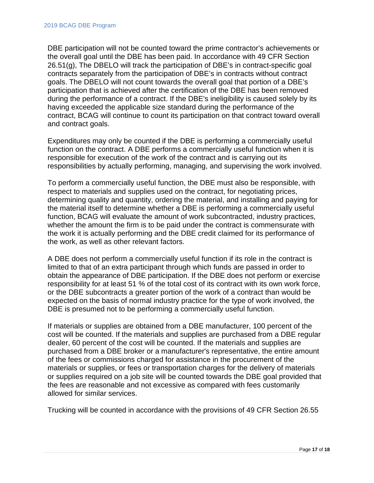DBE participation will not be counted toward the prime contractor's achievements or the overall goal until the DBE has been paid. In accordance with 49 CFR Section 26.51(g), The DBELO will track the participation of DBE's in contract-specific goal contracts separately from the participation of DBE's in contracts without contract goals. The DBELO will not count towards the overall goal that portion of a DBE's participation that is achieved after the certification of the DBE has been removed during the performance of a contract. If the DBE's ineligibility is caused solely by its having exceeded the applicable size standard during the performance of the contract, BCAG will continue to count its participation on that contract toward overall and contract goals.

Expenditures may only be counted if the DBE is performing a commercially useful function on the contract. A DBE performs a commercially useful function when it is responsible for execution of the work of the contract and is carrying out its responsibilities by actually performing, managing, and supervising the work involved.

To perform a commercially useful function, the DBE must also be responsible, with respect to materials and supplies used on the contract, for negotiating prices, determining quality and quantity, ordering the material, and installing and paying for the material itself to determine whether a DBE is performing a commercially useful function, BCAG will evaluate the amount of work subcontracted, industry practices, whether the amount the firm is to be paid under the contract is commensurate with the work it is actually performing and the DBE credit claimed for its performance of the work, as well as other relevant factors.

A DBE does not perform a commercially useful function if its role in the contract is limited to that of an extra participant through which funds are passed in order to obtain the appearance of DBE participation. If the DBE does not perform or exercise responsibility for at least 51 % of the total cost of its contract with its own work force, or the DBE subcontracts a greater portion of the work of a contract than would be expected on the basis of normal industry practice for the type of work involved, the DBE is presumed not to be performing a commercially useful function.

If materials or supplies are obtained from a DBE manufacturer, 100 percent of the cost will be counted. If the materials and supplies are purchased from a DBE regular dealer, 60 percent of the cost will be counted. If the materials and supplies are purchased from a DBE broker or a manufacturer's representative, the entire amount of the fees or commissions charged for assistance in the procurement of the materials or supplies, or fees or transportation charges for the delivery of materials or supplies required on a job site will be counted towards the DBE goal provided that the fees are reasonable and not excessive as compared with fees customarily allowed for similar services.

Trucking will be counted in accordance with the provisions of 49 CFR Section 26.55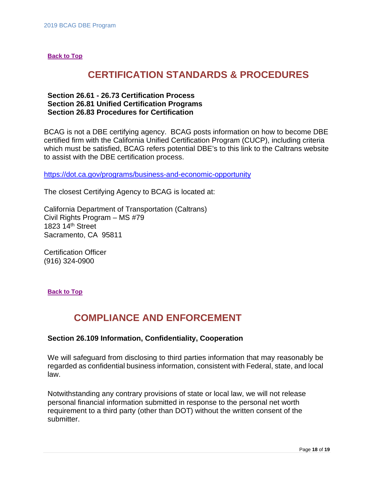#### <span id="page-18-0"></span>**[Back to Top](#page-0-0)**

# **CERTIFICATION STANDARDS & PROCEDURES**

## <span id="page-18-3"></span><span id="page-18-2"></span><span id="page-18-1"></span>**Section 26.61 - 26.73 Certification Process Section 26.81 Unified Certification Programs Section 26.83 Procedures for Certification**

BCAG is not a DBE certifying agency. BCAG posts information on how to become DBE certified firm with the California Unified Certification Program (CUCP), including criteria which must be satisfied, BCAG refers potential DBE's to this link to the Caltrans website to assist with the DBE certification process.

<https://dot.ca.gov/programs/business-and-economic-opportunity>

The closest Certifying Agency to BCAG is located at:

California Department of Transportation (Caltrans) Civil Rights Program – MS #79 1823 14th Street Sacramento, CA 95811

Certification Officer (916) 324-0900

<span id="page-18-4"></span>**[Back to Top](#page-0-0)**

# **COMPLIANCE AND ENFORCEMENT**

#### <span id="page-18-5"></span>**Section 26.109 Information, Confidentiality, Cooperation**

We will safeguard from disclosing to third parties information that may reasonably be regarded as confidential business information, consistent with Federal, state, and local law.

Notwithstanding any contrary provisions of state or local law, we will not release personal financial information submitted in response to the personal net worth requirement to a third party (other than DOT) without the written consent of the submitter.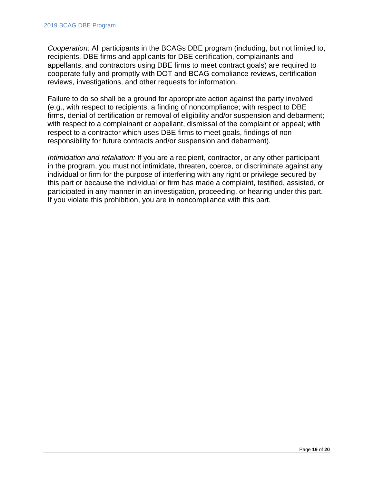*Cooperation:* All participants in the BCAGs DBE program (including, but not limited to, recipients, DBE firms and applicants for DBE certification, complainants and appellants, and contractors using DBE firms to meet contract goals) are required to cooperate fully and promptly with DOT and BCAG compliance reviews, certification reviews, investigations, and other requests for information.

Failure to do so shall be a ground for appropriate action against the party involved (e.g., with respect to recipients, a finding of noncompliance; with respect to DBE firms, denial of certification or removal of eligibility and/or suspension and debarment; with respect to a complainant or appellant, dismissal of the complaint or appeal; with respect to a contractor which uses DBE firms to meet goals, findings of nonresponsibility for future contracts and/or suspension and debarment).

*Intimidation and retaliation:* If you are a recipient, contractor, or any other participant in the program, you must not intimidate, threaten, coerce, or discriminate against any individual or firm for the purpose of interfering with any right or privilege secured by this part or because the individual or firm has made a complaint, testified, assisted, or participated in any manner in an investigation, proceeding, or hearing under this part. If you violate this prohibition, you are in noncompliance with this part.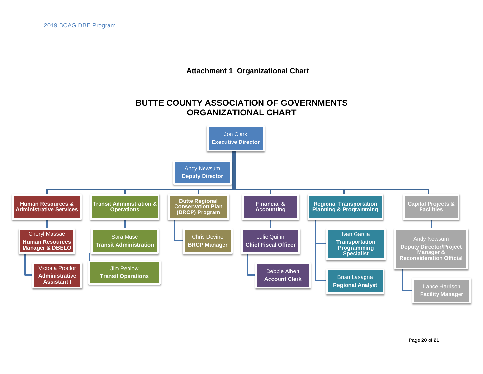**Attachment 1 Organizational Chart**

# **BUTTE COUNTY ASSOCIATION OF GOVERNMENTS ORGANIZATIONAL CHART**

<span id="page-20-0"></span>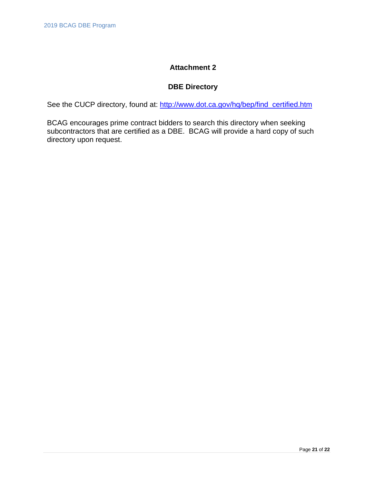# **Attachment 2**

# **DBE Directory**

<span id="page-21-0"></span>See the CUCP directory, found at: [http://www.dot.ca.gov/hq/bep/find\\_certified.htm](http://www.dot.ca.gov/hq/bep/find_certified.htm)

BCAG encourages prime contract bidders to search this directory when seeking subcontractors that are certified as a DBE. BCAG will provide a hard copy of such directory upon request.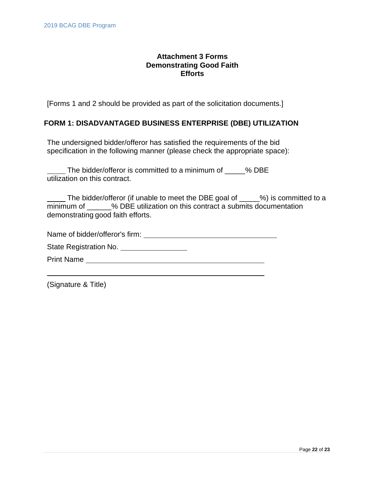# **Attachment 3 Forms Demonstrating Good Faith Efforts**

<span id="page-22-0"></span>[Forms 1 and 2 should be provided as part of the solicitation documents.]

## **FORM 1: DISADVANTAGED BUSINESS ENTERPRISE (DBE) UTILIZATION**

The undersigned bidder/offeror has satisfied the requirements of the bid specification in the following manner (please check the appropriate space):

The bidder/offeror is committed to a minimum of \_\_\_\_\_% DBE utilization on this contract.

The bidder/offeror (if unable to meet the DBE goal of \_\_\_\_\_%) is committed to a minimum of  $\%$  DBE utilization on this contract a submits documentation demonstrating good faith efforts.

Name of bidder/offeror's firm:

State Registration No. \_\_\_\_\_\_\_\_\_\_\_\_\_\_\_\_\_\_

Print Name

(Signature & Title)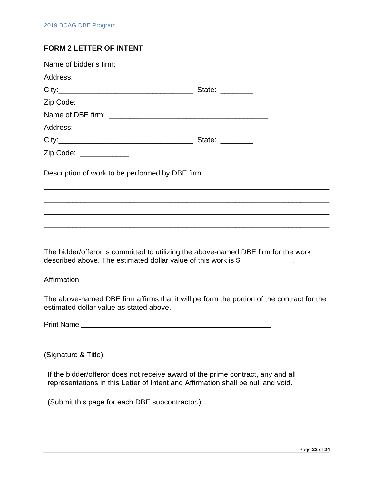# **FORM 2 LETTER OF INTENT**

| State: _________                                        |
|---------------------------------------------------------|
|                                                         |
|                                                         |
|                                                         |
| State: $\frac{1}{\sqrt{1-\frac{1}{2}}\cdot\frac{1}{2}}$ |
|                                                         |
|                                                         |

Description of work to be performed by DBE firm:

The bidder/offeror is committed to utilizing the above-named DBE firm for the work described above. The estimated dollar value of this work is \$

\_\_\_\_\_\_\_\_\_\_\_\_\_\_\_\_\_\_\_\_\_\_\_\_\_\_\_\_\_\_\_\_\_\_\_\_\_\_\_\_\_\_\_\_\_\_\_\_\_\_\_\_\_\_\_\_\_\_\_\_\_\_\_\_\_\_\_\_\_\_

\_\_\_\_\_\_\_\_\_\_\_\_\_\_\_\_\_\_\_\_\_\_\_\_\_\_\_\_\_\_\_\_\_\_\_\_\_\_\_\_\_\_\_\_\_\_\_\_\_\_\_\_\_\_\_\_\_\_\_\_\_\_\_\_\_\_\_\_\_\_

\_\_\_\_\_\_\_\_\_\_\_\_\_\_\_\_\_\_\_\_\_\_\_\_\_\_\_\_\_\_\_\_\_\_\_\_\_\_\_\_\_\_\_\_\_\_\_\_\_\_\_\_\_\_\_\_\_\_\_\_\_\_\_\_\_\_\_\_\_\_

\_\_\_\_\_\_\_\_\_\_\_\_\_\_\_\_\_\_\_\_\_\_\_\_\_\_\_\_\_\_\_\_\_\_\_\_\_\_\_\_\_\_\_\_\_\_\_\_\_\_\_\_\_\_\_\_\_\_\_\_\_\_\_\_\_\_\_\_\_\_

**Affirmation** 

The above-named DBE firm affirms that it will perform the portion of the contract for the estimated dollar value as stated above.

Print Name

(Signature & Title)

If the bidder/offeror does not receive award of the prime contract, any and all representations in this Letter of Intent and Affirmation shall be null and void.

(Submit this page for each DBE subcontractor.)